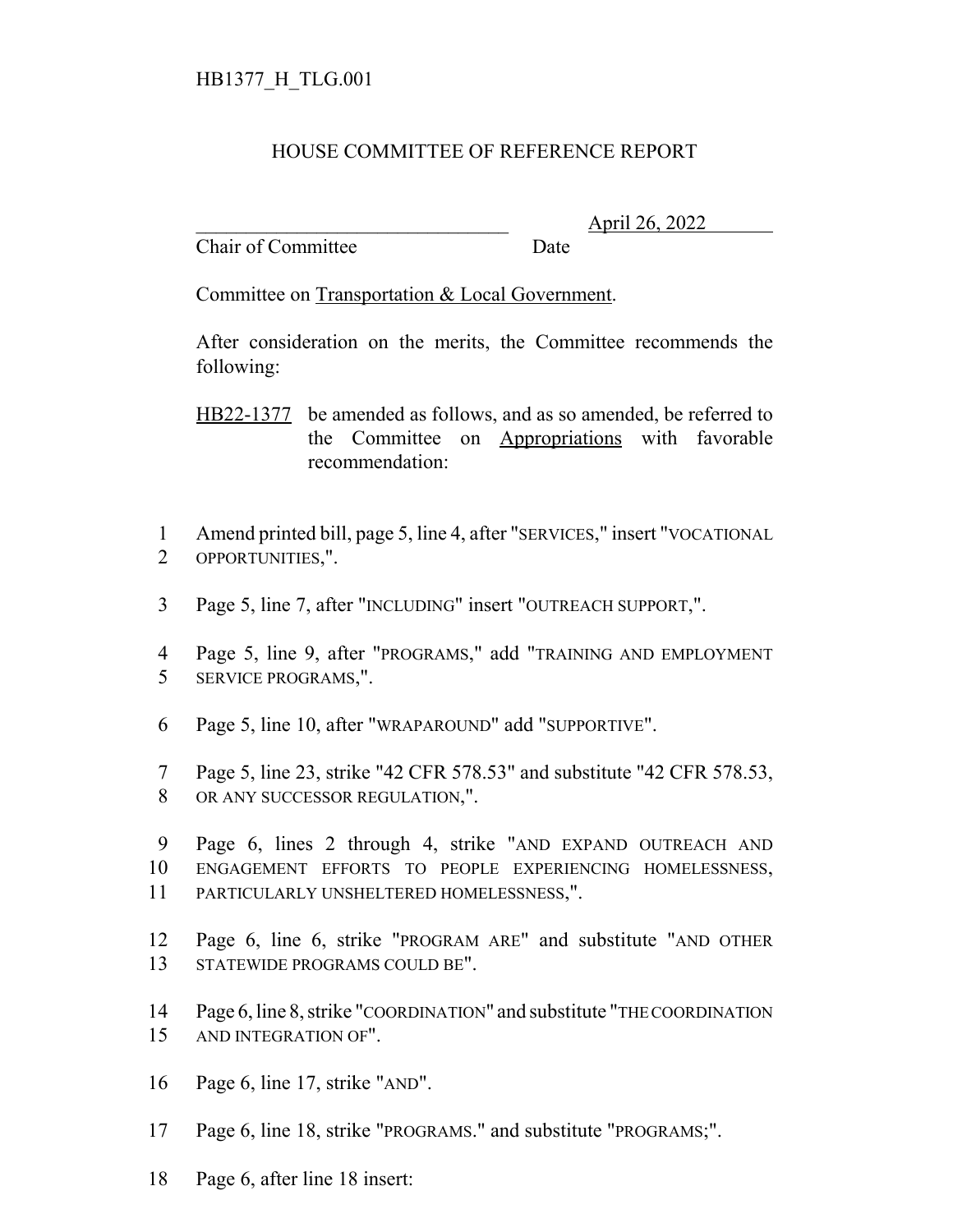## HOUSE COMMITTEE OF REFERENCE REPORT

Chair of Committee Date

\_\_\_\_\_\_\_\_\_\_\_\_\_\_\_\_\_\_\_\_\_\_\_\_\_\_\_\_\_\_\_ April 26, 2022

Committee on Transportation & Local Government.

After consideration on the merits, the Committee recommends the following:

HB22-1377 be amended as follows, and as so amended, be referred to the Committee on Appropriations with favorable recommendation:

 Amend printed bill, page 5, line 4, after "SERVICES," insert "VOCATIONAL OPPORTUNITIES,".

- Page 5, line 7, after "INCLUDING" insert "OUTREACH SUPPORT,".
- Page 5, line 9, after "PROGRAMS," add "TRAINING AND EMPLOYMENT SERVICE PROGRAMS,".
- Page 5, line 10, after "WRAPAROUND" add "SUPPORTIVE".
- Page 5, line 23, strike "42 CFR 578.53" and substitute "42 CFR 578.53, OR ANY SUCCESSOR REGULATION,".

 Page 6, lines 2 through 4, strike "AND EXPAND OUTREACH AND ENGAGEMENT EFFORTS TO PEOPLE EXPERIENCING HOMELESSNESS, PARTICULARLY UNSHELTERED HOMELESSNESS,".

- Page 6, line 6, strike "PROGRAM ARE" and substitute "AND OTHER STATEWIDE PROGRAMS COULD BE".
- Page 6, line 8, strike "COORDINATION" and substitute "THE COORDINATION AND INTEGRATION OF".
- Page 6, line 17, strike "AND".
- Page 6, line 18, strike "PROGRAMS." and substitute "PROGRAMS;".
- Page 6, after line 18 insert: